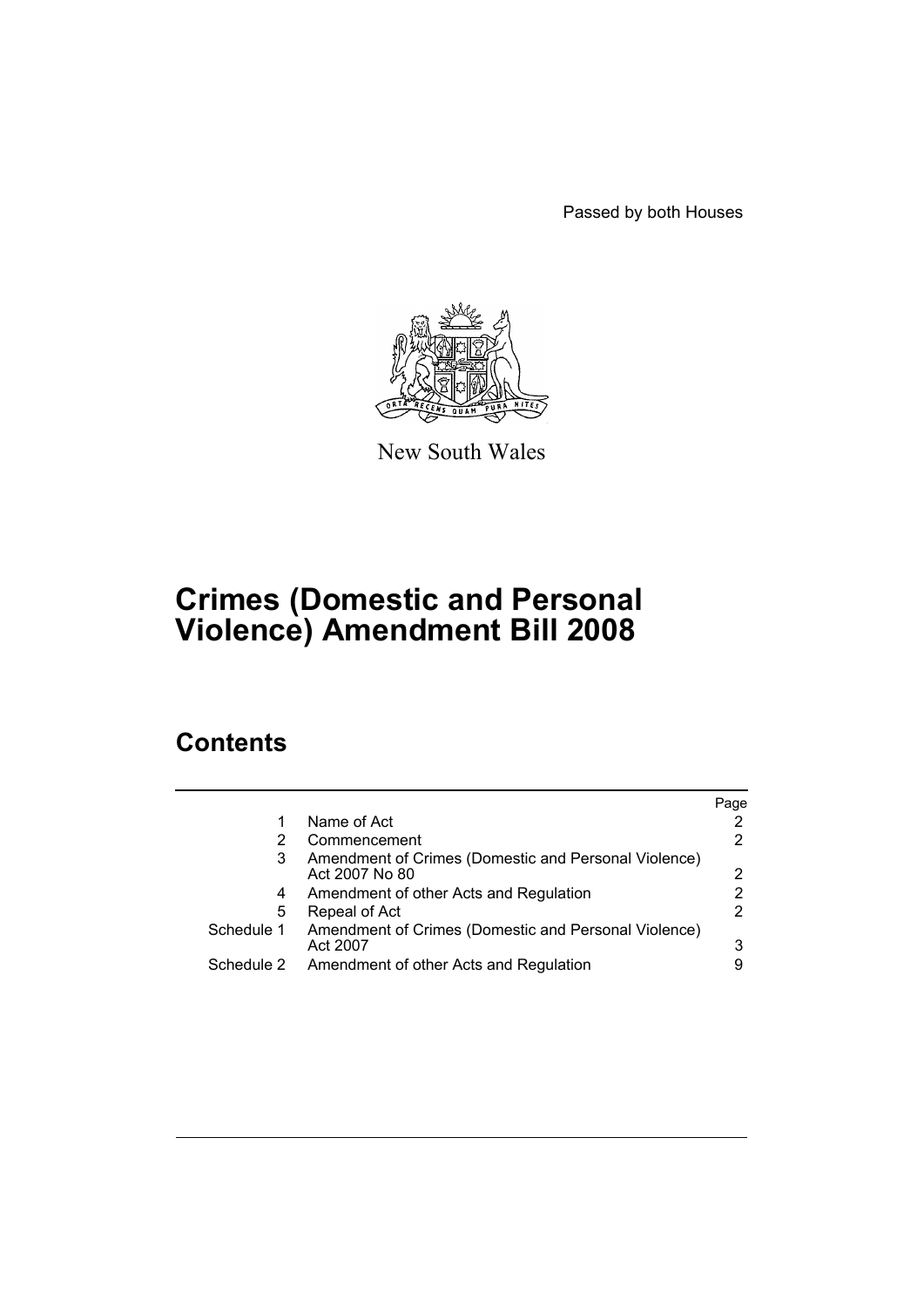Passed by both Houses



New South Wales

# **Crimes (Domestic and Personal Violence) Amendment Bill 2008**

# **Contents**

|            |                                                                        | Page |
|------------|------------------------------------------------------------------------|------|
| 1          | Name of Act                                                            |      |
| 2          | Commencement                                                           |      |
| 3          | Amendment of Crimes (Domestic and Personal Violence)<br>Act 2007 No 80 | 2    |
| 4          | Amendment of other Acts and Regulation                                 |      |
| 5          | Repeal of Act                                                          |      |
| Schedule 1 | Amendment of Crimes (Domestic and Personal Violence)<br>Act 2007       | 3    |
| Schedule 2 | Amendment of other Acts and Regulation                                 |      |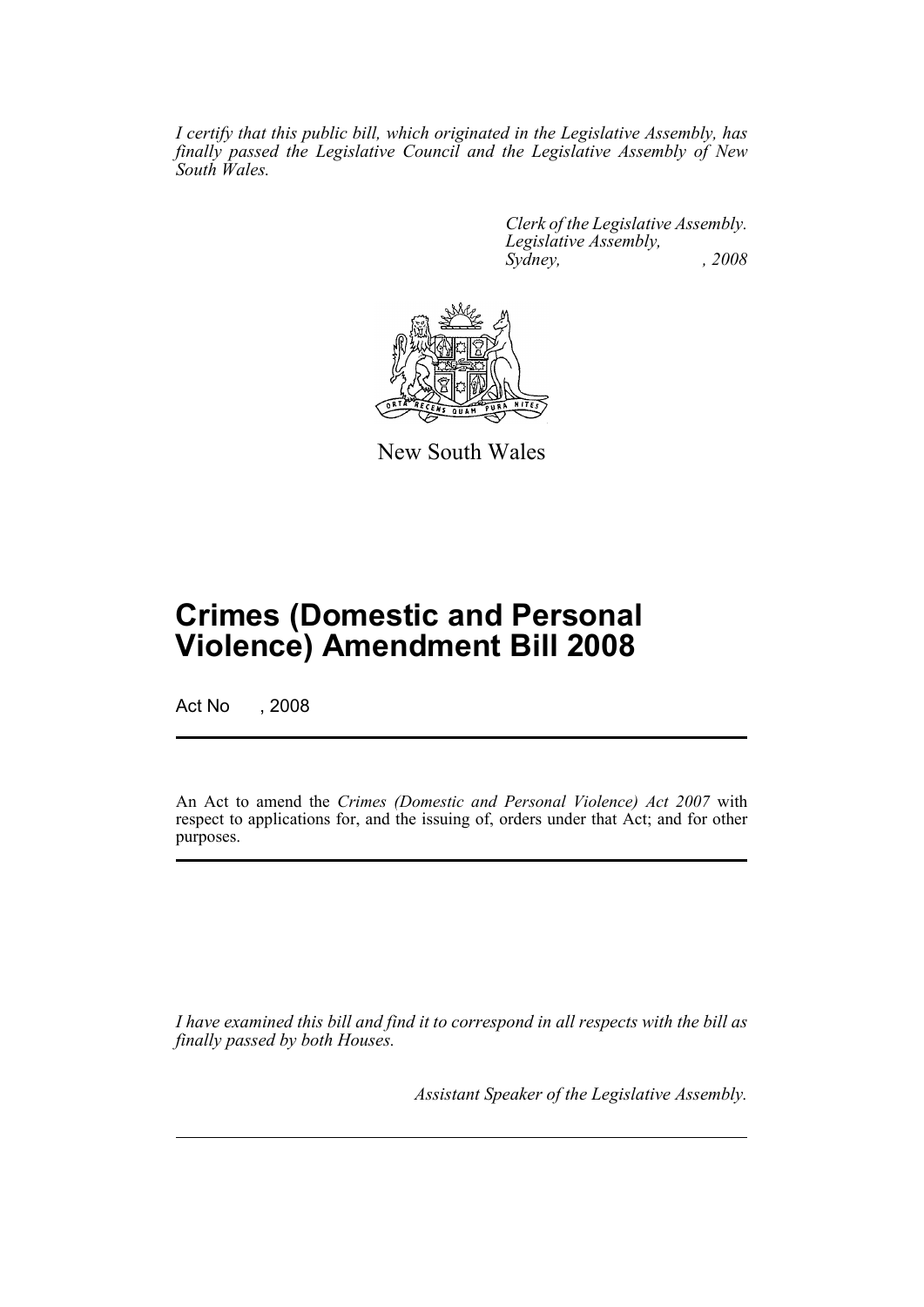*I certify that this public bill, which originated in the Legislative Assembly, has finally passed the Legislative Council and the Legislative Assembly of New South Wales.*

> *Clerk of the Legislative Assembly. Legislative Assembly, Sydney, , 2008*



New South Wales

# **Crimes (Domestic and Personal Violence) Amendment Bill 2008**

Act No , 2008

An Act to amend the *Crimes (Domestic and Personal Violence) Act 2007* with respect to applications for, and the issuing of, orders under that Act; and for other purposes.

*I have examined this bill and find it to correspond in all respects with the bill as finally passed by both Houses.*

*Assistant Speaker of the Legislative Assembly.*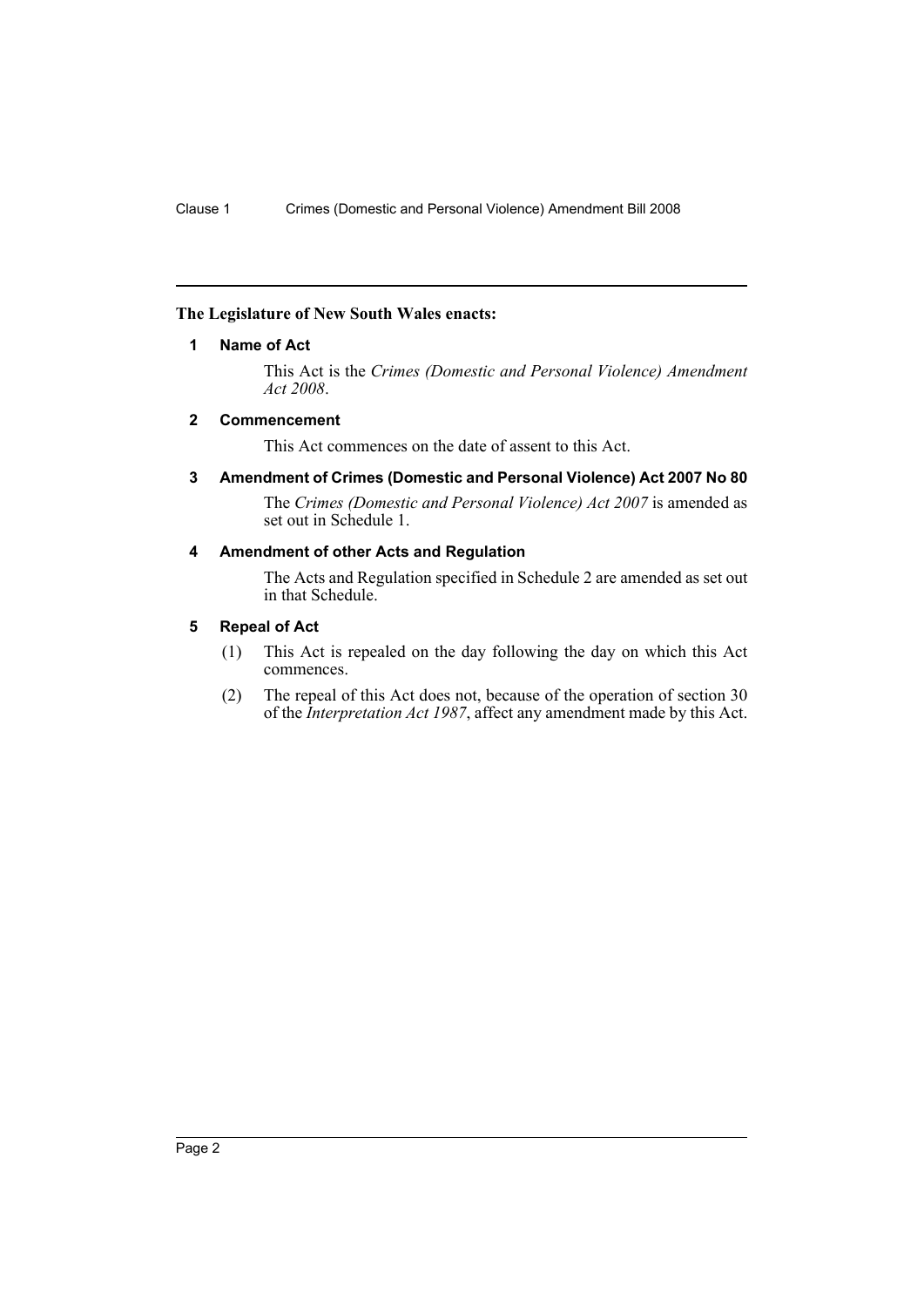## <span id="page-3-0"></span>**The Legislature of New South Wales enacts:**

## **1 Name of Act**

This Act is the *Crimes (Domestic and Personal Violence) Amendment Act 2008*.

## <span id="page-3-1"></span>**2 Commencement**

This Act commences on the date of assent to this Act.

<span id="page-3-2"></span>**3 Amendment of Crimes (Domestic and Personal Violence) Act 2007 No 80**

The *Crimes (Domestic and Personal Violence) Act 2007* is amended as set out in Schedule 1.

# <span id="page-3-3"></span>**4 Amendment of other Acts and Regulation**

The Acts and Regulation specified in Schedule 2 are amended as set out in that Schedule.

## <span id="page-3-4"></span>**5 Repeal of Act**

- (1) This Act is repealed on the day following the day on which this Act commences.
- (2) The repeal of this Act does not, because of the operation of section 30 of the *Interpretation Act 1987*, affect any amendment made by this Act.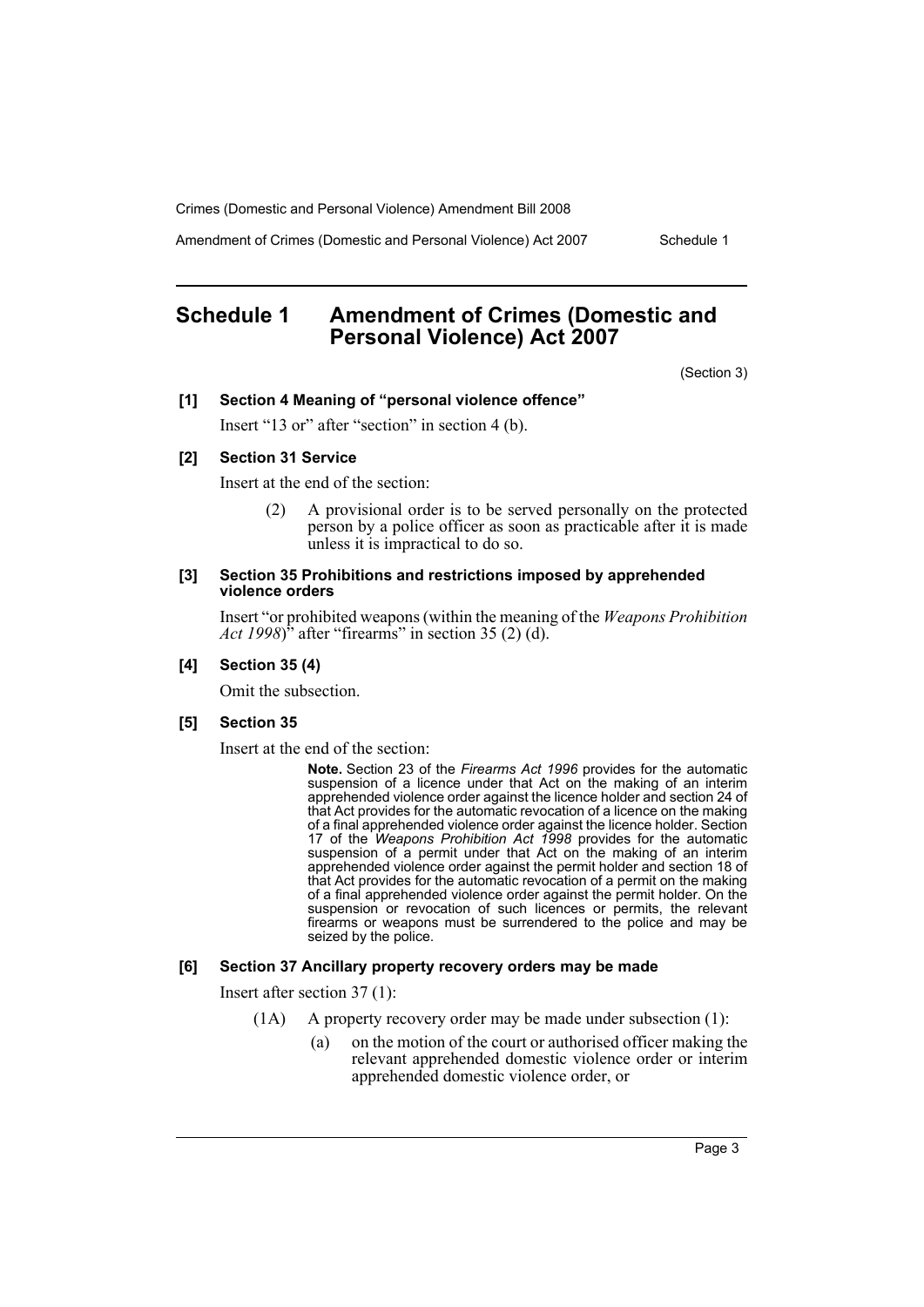Amendment of Crimes (Domestic and Personal Violence) Act 2007 Schedule 1

# <span id="page-4-0"></span>**Schedule 1 Amendment of Crimes (Domestic and Personal Violence) Act 2007**

(Section 3)

#### **[1] Section 4 Meaning of "personal violence offence"**

Insert "13 or" after "section" in section 4 (b).

#### **[2] Section 31 Service**

Insert at the end of the section:

(2) A provisional order is to be served personally on the protected person by a police officer as soon as practicable after it is made unless it is impractical to do so.

#### **[3] Section 35 Prohibitions and restrictions imposed by apprehended violence orders**

Insert "or prohibited weapons (within the meaning of the *Weapons Prohibition Act 1998*)<sup>"</sup> after "firearms" in section 35 (2) (d).

#### **[4] Section 35 (4)**

Omit the subsection.

#### **[5] Section 35**

Insert at the end of the section:

**Note.** Section 23 of the *Firearms Act 1996* provides for the automatic suspension of a licence under that Act on the making of an interim apprehended violence order against the licence holder and section 24 of that Act provides for the automatic revocation of a licence on the making of a final apprehended violence order against the licence holder. Section 17 of the *Weapons Prohibition Act 1998* provides for the automatic suspension of a permit under that Act on the making of an interim apprehended violence order against the permit holder and section 18 of that Act provides for the automatic revocation of a permit on the making of a final apprehended violence order against the permit holder. On the suspension or revocation of such licences or permits, the relevant firearms or weapons must be surrendered to the police and may be seized by the police.

#### **[6] Section 37 Ancillary property recovery orders may be made**

Insert after section 37 (1):

- (1A) A property recovery order may be made under subsection (1):
	- (a) on the motion of the court or authorised officer making the relevant apprehended domestic violence order or interim apprehended domestic violence order, or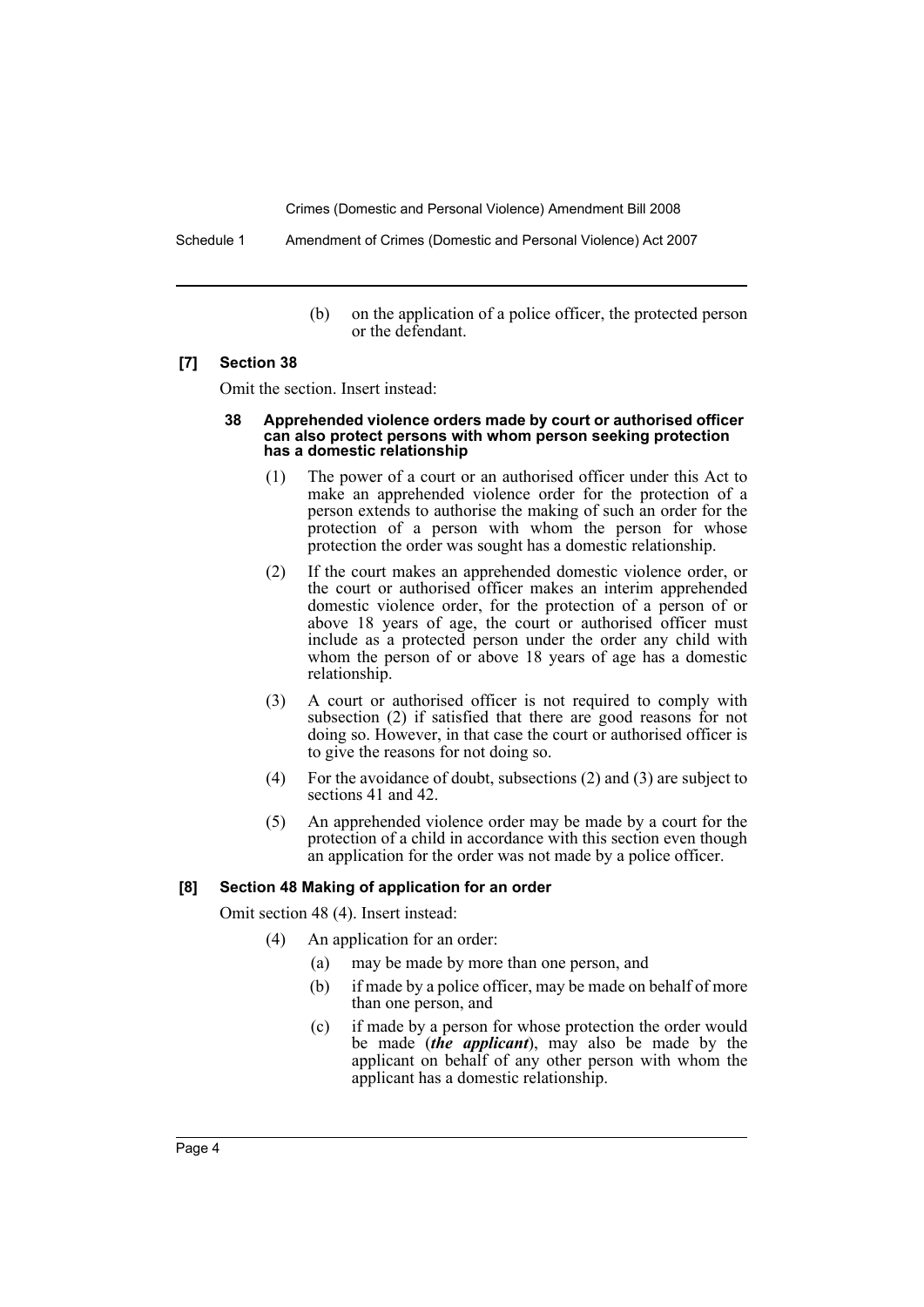Schedule 1 Amendment of Crimes (Domestic and Personal Violence) Act 2007

(b) on the application of a police officer, the protected person or the defendant.

#### **[7] Section 38**

Omit the section. Insert instead:

#### **38 Apprehended violence orders made by court or authorised officer can also protect persons with whom person seeking protection has a domestic relationship**

- (1) The power of a court or an authorised officer under this Act to make an apprehended violence order for the protection of a person extends to authorise the making of such an order for the protection of a person with whom the person for whose protection the order was sought has a domestic relationship.
- (2) If the court makes an apprehended domestic violence order, or the court or authorised officer makes an interim apprehended domestic violence order, for the protection of a person of or above 18 years of age, the court or authorised officer must include as a protected person under the order any child with whom the person of or above 18 years of age has a domestic relationship.
- (3) A court or authorised officer is not required to comply with subsection (2) if satisfied that there are good reasons for not doing so. However, in that case the court or authorised officer is to give the reasons for not doing so.
- (4) For the avoidance of doubt, subsections (2) and (3) are subject to sections 41 and 42.
- (5) An apprehended violence order may be made by a court for the protection of a child in accordance with this section even though an application for the order was not made by a police officer.

#### **[8] Section 48 Making of application for an order**

Omit section 48 (4). Insert instead:

- (4) An application for an order:
	- (a) may be made by more than one person, and
	- (b) if made by a police officer, may be made on behalf of more than one person, and
	- (c) if made by a person for whose protection the order would be made (*the applicant*), may also be made by the applicant on behalf of any other person with whom the applicant has a domestic relationship.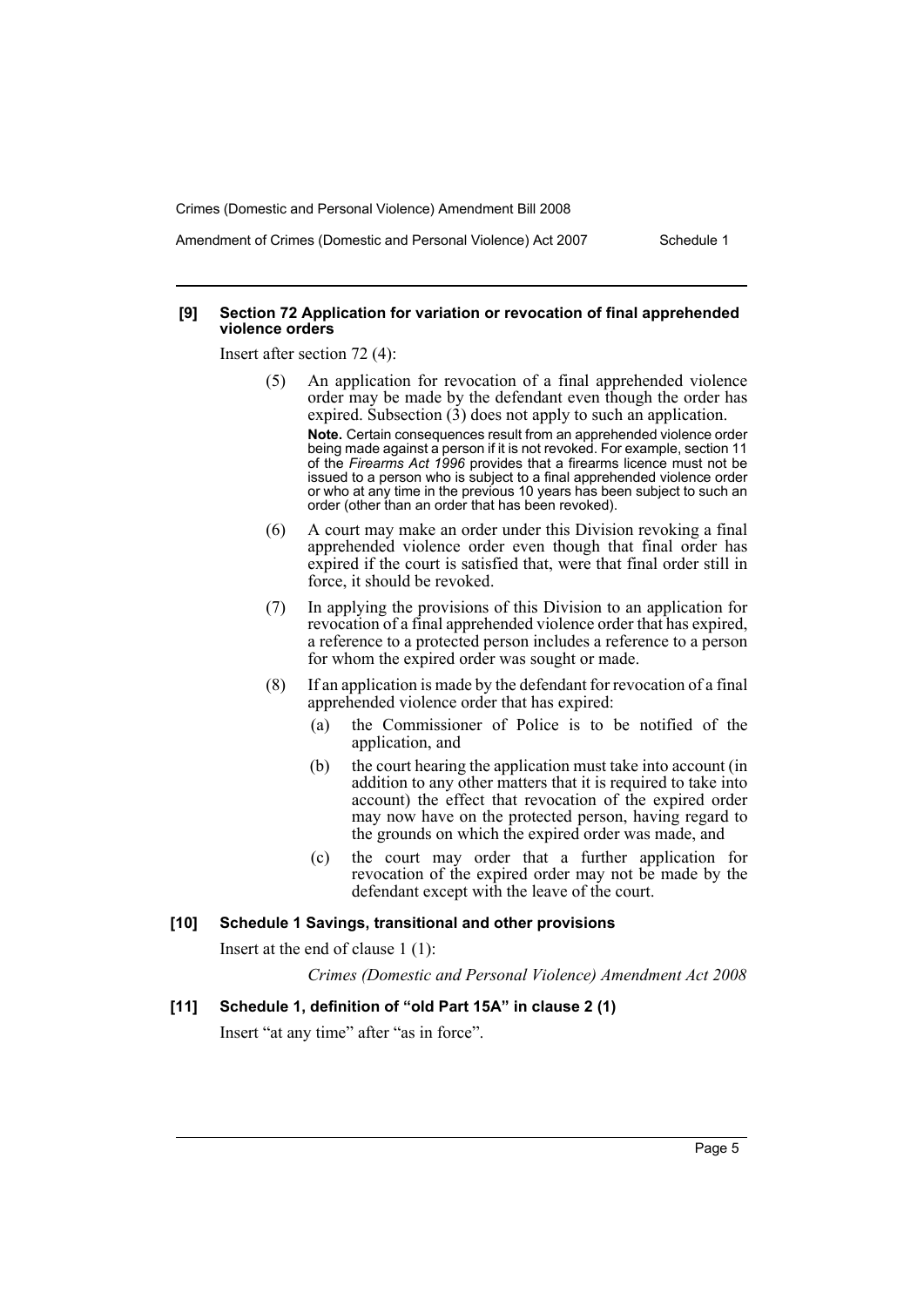Amendment of Crimes (Domestic and Personal Violence) Act 2007 Schedule 1

#### **[9] Section 72 Application for variation or revocation of final apprehended violence orders**

Insert after section 72 (4):

- (5) An application for revocation of a final apprehended violence order may be made by the defendant even though the order has expired. Subsection  $(3)$  does not apply to such an application. **Note.** Certain consequences result from an apprehended violence order being made against a person if it is not revoked. For example, section 11 of the *Firearms Act 1996* provides that a firearms licence must not be issued to a person who is subject to a final apprehended violence order or who at any time in the previous 10 years has been subject to such an order (other than an order that has been revoked).
- (6) A court may make an order under this Division revoking a final apprehended violence order even though that final order has expired if the court is satisfied that, were that final order still in force, it should be revoked.
- (7) In applying the provisions of this Division to an application for revocation of a final apprehended violence order that has expired, a reference to a protected person includes a reference to a person for whom the expired order was sought or made.
- (8) If an application is made by the defendant for revocation of a final apprehended violence order that has expired:
	- (a) the Commissioner of Police is to be notified of the application, and
	- (b) the court hearing the application must take into account (in addition to any other matters that it is required to take into account) the effect that revocation of the expired order may now have on the protected person, having regard to the grounds on which the expired order was made, and
	- (c) the court may order that a further application for revocation of the expired order may not be made by the defendant except with the leave of the court.

#### **[10] Schedule 1 Savings, transitional and other provisions**

Insert at the end of clause 1 (1):

*Crimes (Domestic and Personal Violence) Amendment Act 2008*

#### **[11] Schedule 1, definition of "old Part 15A" in clause 2 (1)**

Insert "at any time" after "as in force".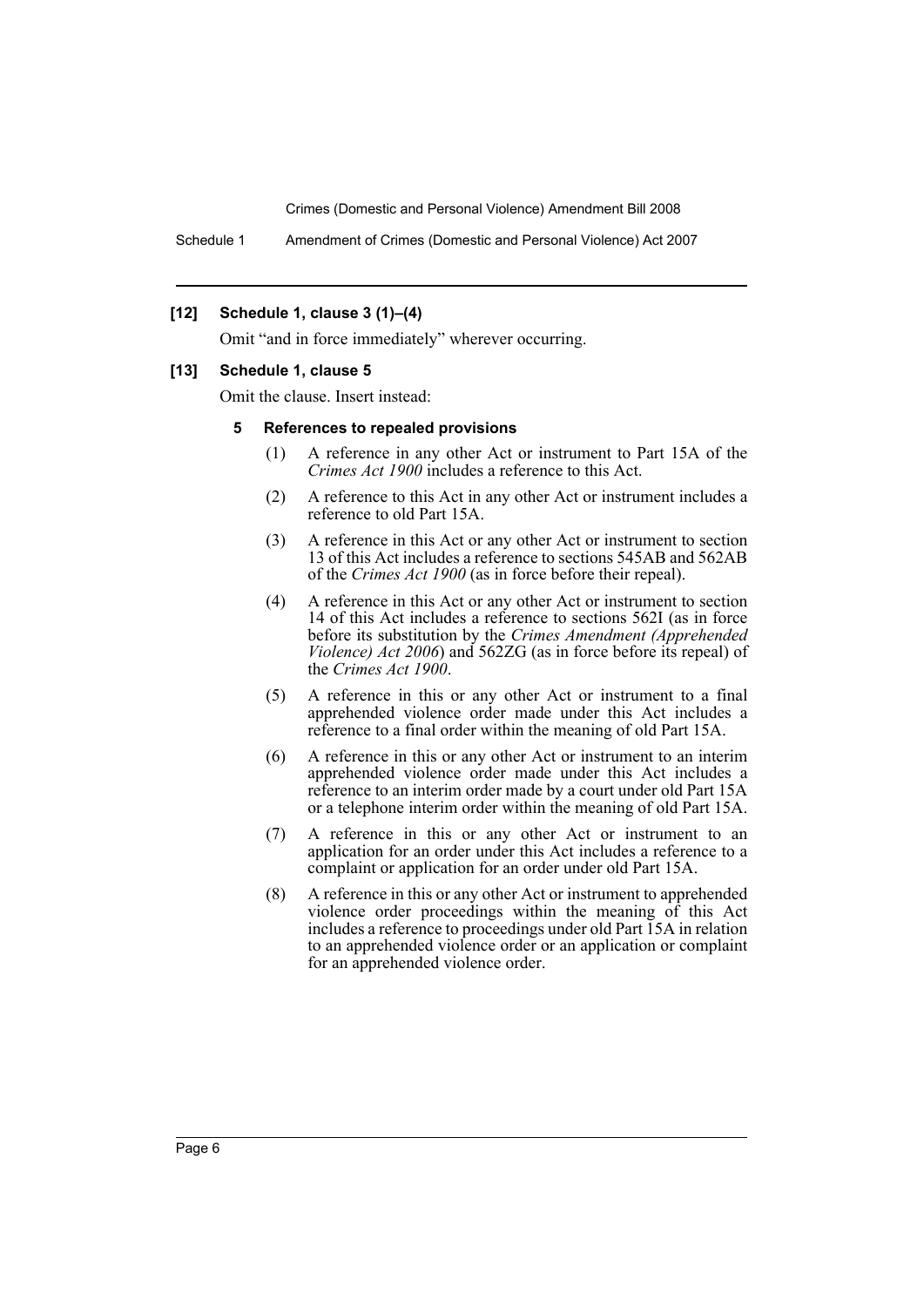Schedule 1 Amendment of Crimes (Domestic and Personal Violence) Act 2007

#### **[12] Schedule 1, clause 3 (1)–(4)**

Omit "and in force immediately" wherever occurring.

#### **[13] Schedule 1, clause 5**

Omit the clause. Insert instead:

#### **5 References to repealed provisions**

- (1) A reference in any other Act or instrument to Part 15A of the *Crimes Act 1900* includes a reference to this Act.
- (2) A reference to this Act in any other Act or instrument includes a reference to old Part 15A.
- (3) A reference in this Act or any other Act or instrument to section 13 of this Act includes a reference to sections 545AB and 562AB of the *Crimes Act 1900* (as in force before their repeal).
- (4) A reference in this Act or any other Act or instrument to section 14 of this Act includes a reference to sections 562I (as in force before its substitution by the *Crimes Amendment (Apprehended Violence) Act 2006*) and 562ZG (as in force before its repeal) of the *Crimes Act 1900*.
- (5) A reference in this or any other Act or instrument to a final apprehended violence order made under this Act includes a reference to a final order within the meaning of old Part 15A.
- (6) A reference in this or any other Act or instrument to an interim apprehended violence order made under this Act includes a reference to an interim order made by a court under old Part 15A or a telephone interim order within the meaning of old Part 15A.
- (7) A reference in this or any other Act or instrument to an application for an order under this Act includes a reference to a complaint or application for an order under old Part 15A.
- (8) A reference in this or any other Act or instrument to apprehended violence order proceedings within the meaning of this Act includes a reference to proceedings under old Part 15A in relation to an apprehended violence order or an application or complaint for an apprehended violence order.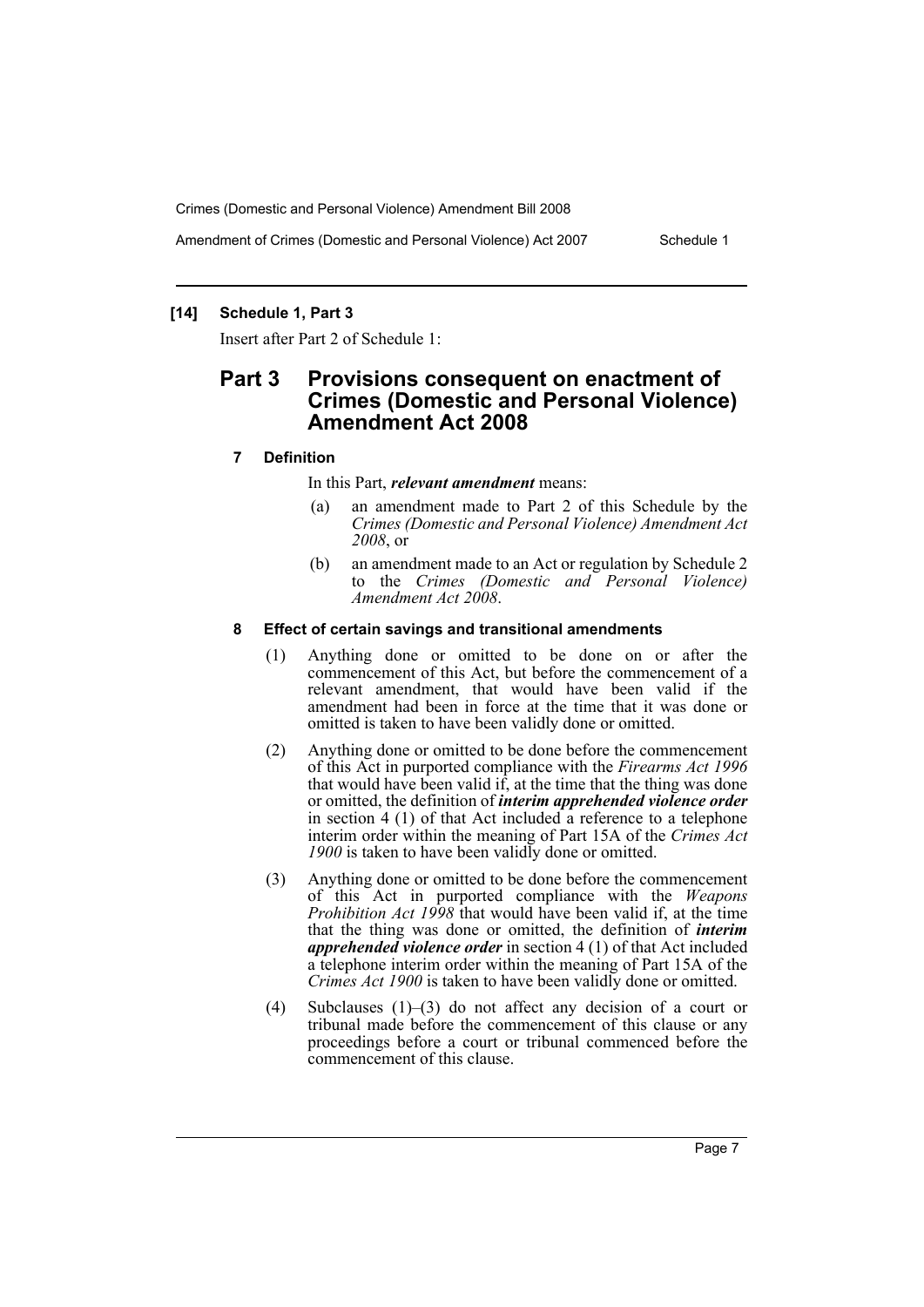Amendment of Crimes (Domestic and Personal Violence) Act 2007 Schedule 1

## **[14] Schedule 1, Part 3**

Insert after Part 2 of Schedule 1:

# **Part 3 Provisions consequent on enactment of Crimes (Domestic and Personal Violence) Amendment Act 2008**

## **7 Definition**

In this Part, *relevant amendment* means:

- (a) an amendment made to Part 2 of this Schedule by the *Crimes (Domestic and Personal Violence) Amendment Act 2008*, or
- (b) an amendment made to an Act or regulation by Schedule 2 to the *Crimes (Domestic and Personal Violence) Amendment Act 2008*.

#### **8 Effect of certain savings and transitional amendments**

- (1) Anything done or omitted to be done on or after the commencement of this Act, but before the commencement of a relevant amendment, that would have been valid if the amendment had been in force at the time that it was done or omitted is taken to have been validly done or omitted.
- (2) Anything done or omitted to be done before the commencement of this Act in purported compliance with the *Firearms Act 1996* that would have been valid if, at the time that the thing was done or omitted, the definition of *interim apprehended violence order* in section 4 (1) of that Act included a reference to a telephone interim order within the meaning of Part 15A of the *Crimes Act 1900* is taken to have been validly done or omitted.
- (3) Anything done or omitted to be done before the commencement of this Act in purported compliance with the *Weapons Prohibition Act 1998* that would have been valid if, at the time that the thing was done or omitted, the definition of *interim apprehended violence order* in section 4 (1) of that Act included a telephone interim order within the meaning of Part 15A of the *Crimes Act 1900* is taken to have been validly done or omitted.
- (4) Subclauses (1)–(3) do not affect any decision of a court or tribunal made before the commencement of this clause or any proceedings before a court or tribunal commenced before the commencement of this clause.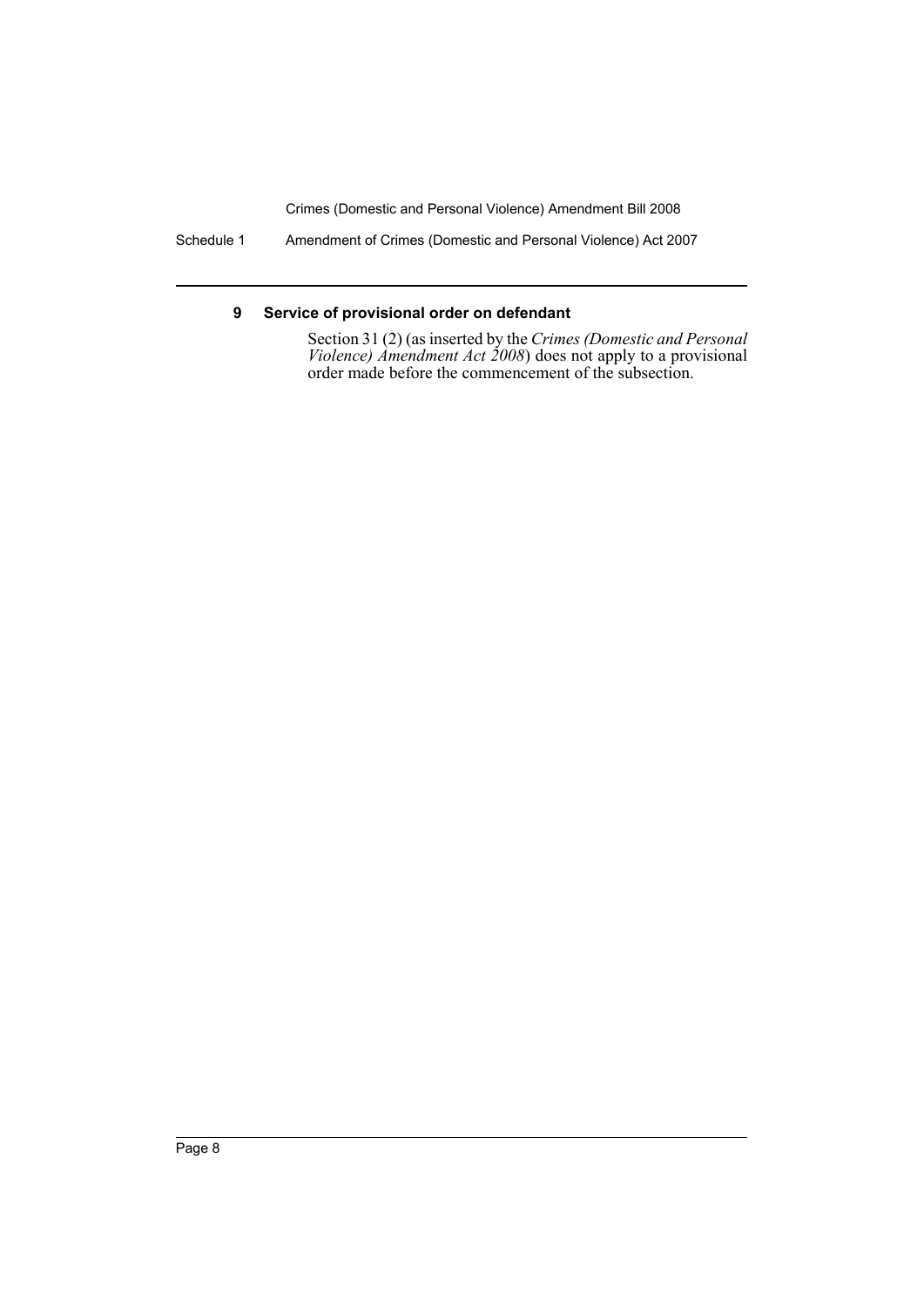Schedule 1 Amendment of Crimes (Domestic and Personal Violence) Act 2007

## **9 Service of provisional order on defendant**

Section 31 (2) (as inserted by the *Crimes (Domestic and Personal Violence) Amendment Act 2008*) does not apply to a provisional order made before the commencement of the subsection.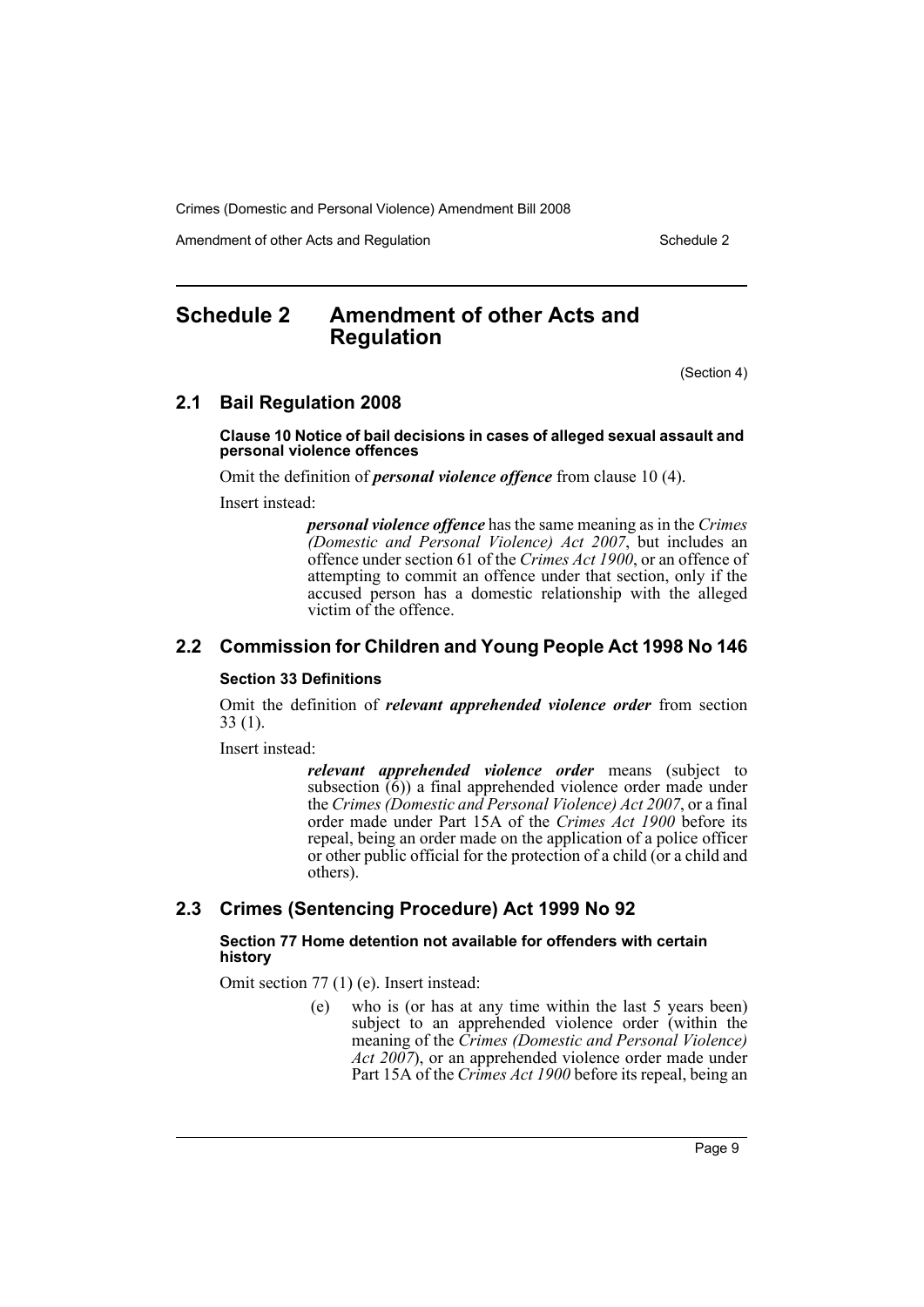Amendment of other Acts and Regulation Schedule 2

# <span id="page-10-0"></span>**Schedule 2 Amendment of other Acts and Regulation**

(Section 4)

# **2.1 Bail Regulation 2008**

#### **Clause 10 Notice of bail decisions in cases of alleged sexual assault and personal violence offences**

Omit the definition of *personal violence offence* from clause 10 (4).

Insert instead:

*personal violence offence* has the same meaning as in the *Crimes (Domestic and Personal Violence) Act 2007*, but includes an offence under section 61 of the *Crimes Act 1900*, or an offence of attempting to commit an offence under that section, only if the accused person has a domestic relationship with the alleged victim of the offence.

# **2.2 Commission for Children and Young People Act 1998 No 146**

#### **Section 33 Definitions**

Omit the definition of *relevant apprehended violence order* from section 33 (1).

Insert instead:

*relevant apprehended violence order* means (subject to subsection  $(6)$ ) a final apprehended violence order made under the *Crimes (Domestic and Personal Violence) Act 2007*, or a final order made under Part 15A of the *Crimes Act 1900* before its repeal, being an order made on the application of a police officer or other public official for the protection of a child (or a child and others).

# **2.3 Crimes (Sentencing Procedure) Act 1999 No 92**

## **Section 77 Home detention not available for offenders with certain history**

Omit section 77 (1) (e). Insert instead:

(e) who is (or has at any time within the last 5 years been) subject to an apprehended violence order (within the meaning of the *Crimes (Domestic and Personal Violence) Act 2007*), or an apprehended violence order made under Part 15A of the *Crimes Act 1900* before its repeal, being an